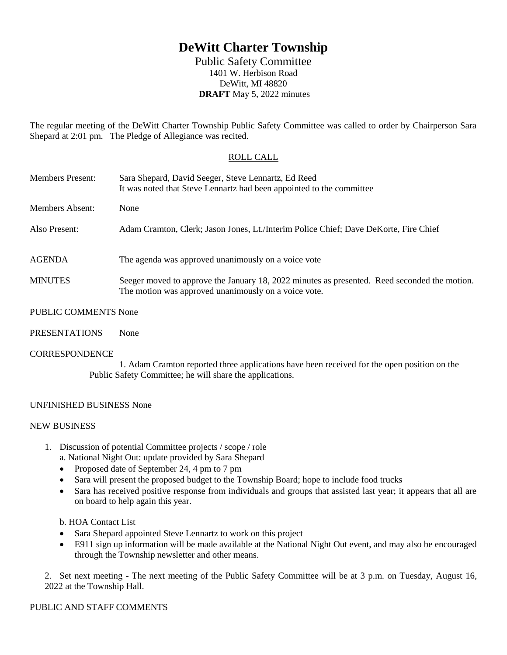## **DeWitt Charter Township**

Public Safety Committee 1401 W. Herbison Road DeWitt, MI 48820 **DRAFT** May 5, 2022 minutes

The regular meeting of the DeWitt Charter Township Public Safety Committee was called to order by Chairperson Sara Shepard at 2:01 pm. The Pledge of Allegiance was recited.

## ROLL CALL

| <b>Members Present:</b>     | Sara Shepard, David Seeger, Steve Lennartz, Ed Reed<br>It was noted that Steve Lennartz had been appointed to the committee                          |
|-----------------------------|------------------------------------------------------------------------------------------------------------------------------------------------------|
| Members Absent:             | None                                                                                                                                                 |
| Also Present:               | Adam Cramton, Clerk; Jason Jones, Lt./Interim Police Chief; Dave DeKorte, Fire Chief                                                                 |
| <b>AGENDA</b>               | The agenda was approved unanimously on a voice vote                                                                                                  |
| <b>MINUTES</b>              | Seeger moved to approve the January 18, 2022 minutes as presented. Reed seconded the motion.<br>The motion was approved unanimously on a voice vote. |
| <b>PUBLIC COMMENTS None</b> |                                                                                                                                                      |

PRESENTATIONS None

**CORRESPONDENCE** 

1. Adam Cramton reported three applications have been received for the open position on the Public Safety Committee; he will share the applications.

## UNFINISHED BUSINESS None

## NEW BUSINESS

- 1. Discussion of potential Committee projects / scope / role
	- a. National Night Out: update provided by Sara Shepard
	- Proposed date of September 24, 4 pm to 7 pm
	- Sara will present the proposed budget to the Township Board; hope to include food trucks
	- Sara has received positive response from individuals and groups that assisted last year; it appears that all are on board to help again this year.

b. HOA Contact List

- Sara Shepard appointed Steve Lennartz to work on this project
- E911 sign up information will be made available at the National Night Out event, and may also be encouraged through the Township newsletter and other means.

2. Set next meeting - The next meeting of the Public Safety Committee will be at 3 p.m. on Tuesday, August 16, 2022 at the Township Hall.

PUBLIC AND STAFF COMMENTS